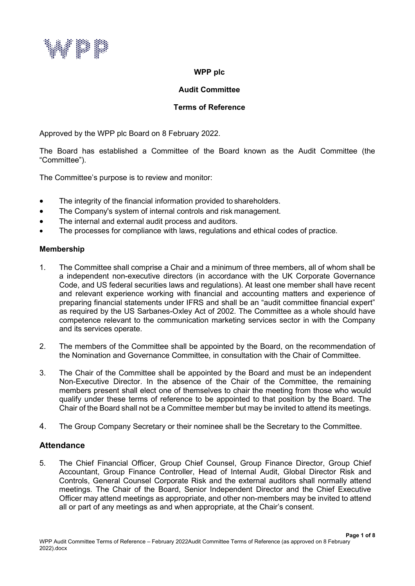

## **WPP plc**

## **Audit Committee**

### **Terms of Reference**

Approved by the WPP plc Board on 8 February 2022.

The Board has established a Committee of the Board known as the Audit Committee (the "Committee").

The Committee's purpose is to review and monitor:

- The integrity of the financial information provided to shareholders.
- The Company's system of internal controls and risk management.
- The internal and external audit process and auditors.
- The processes for compliance with laws, regulations and ethical codes of practice.

### **Membership**

- 1. The Committee shall comprise a Chair and a minimum of three members, all of whom shall be a independent non-executive directors (in accordance with the UK Corporate Governance Code, and US federal securities laws and regulations). At least one member shall have recent and relevant experience working with financial and accounting matters and experience of preparing financial statements under IFRS and shall be an "audit committee financial expert" as required by the US Sarbanes-Oxley Act of 2002. The Committee as a whole should have competence relevant to the communication marketing services sector in with the Company and its services operate.
- 2. The members of the Committee shall be appointed by the Board, on the recommendation of the Nomination and Governance Committee, in consultation with the Chair of Committee.
- 3. The Chair of the Committee shall be appointed by the Board and must be an independent Non-Executive Director. In the absence of the Chair of the Committee, the remaining members present shall elect one of themselves to chair the meeting from those who would qualify under these terms of reference to be appointed to that position by the Board. The Chair of the Board shall not be a Committee member but may be invited to attend its meetings.
- 4. The Group Company Secretary or their nominee shall be the Secretary to the Committee.

# **Attendance**

5. The Chief Financial Officer, Group Chief Counsel, Group Finance Director, Group Chief Accountant, Group Finance Controller, Head of Internal Audit, Global Director Risk and Controls, General Counsel Corporate Risk and the external auditors shall normally attend meetings. The Chair of the Board, Senior Independent Director and the Chief Executive Officer may attend meetings as appropriate, and other non-members may be invited to attend all or part of any meetings as and when appropriate, at the Chair's consent.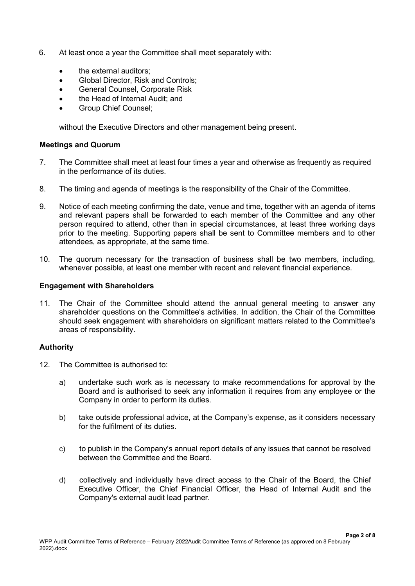- 6. At least once a year the Committee shall meet separately with:
	- the external auditors:
	- Global Director, Risk and Controls;
	- General Counsel, Corporate Risk
	- the Head of Internal Audit; and
	- Group Chief Counsel;

without the Executive Directors and other management being present.

#### **Meetings and Quorum**

- 7. The Committee shall meet at least four times a year and otherwise as frequently as required in the performance of its duties.
- 8. The timing and agenda of meetings is the responsibility of the Chair of the Committee.
- 9. Notice of each meeting confirming the date, venue and time, together with an agenda of items and relevant papers shall be forwarded to each member of the Committee and any other person required to attend, other than in special circumstances, at least three working days prior to the meeting. Supporting papers shall be sent to Committee members and to other attendees, as appropriate, at the same time.
- 10. The quorum necessary for the transaction of business shall be two members, including, whenever possible, at least one member with recent and relevant financial experience.

#### **Engagement with Shareholders**

11. The Chair of the Committee should attend the annual general meeting to answer any shareholder questions on the Committee's activities. In addition, the Chair of the Committee should seek engagement with shareholders on significant matters related to the Committee's areas of responsibility.

### **Authority**

- 12. The Committee is authorised to:
	- a) undertake such work as is necessary to make recommendations for approval by the Board and is authorised to seek any information it requires from any employee or the Company in order to perform its duties.
	- b) take outside professional advice, at the Company's expense, as it considers necessary for the fulfilment of its duties.
	- c) to publish in the Company's annual report details of any issues that cannot be resolved between the Committee and the Board.
	- d) collectively and individually have direct access to the Chair of the Board, the Chief Executive Officer, the Chief Financial Officer, the Head of Internal Audit and the Company's external audit lead partner.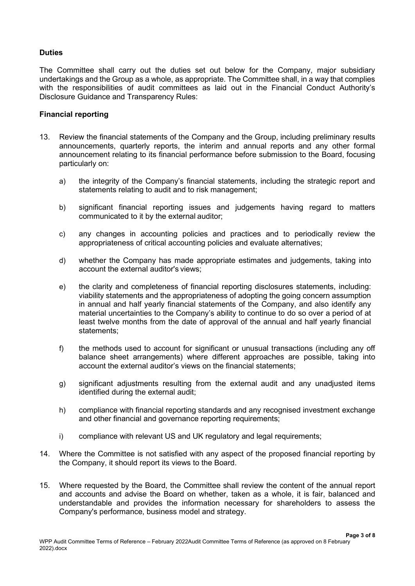### **Duties**

The Committee shall carry out the duties set out below for the Company, major subsidiary undertakings and the Group as a whole, as appropriate. The Committee shall, in a way that complies with the responsibilities of audit committees as laid out in the Financial Conduct Authority's Disclosure Guidance and Transparency Rules:

## **Financial reporting**

- 13. Review the financial statements of the Company and the Group, including preliminary results announcements, quarterly reports, the interim and annual reports and any other formal announcement relating to its financial performance before submission to the Board, focusing particularly on:
	- a) the integrity of the Company's financial statements, including the strategic report and statements relating to audit and to risk management;
	- b) significant financial reporting issues and judgements having regard to matters communicated to it by the external auditor;
	- c) any changes in accounting policies and practices and to periodically review the appropriateness of critical accounting policies and evaluate alternatives;
	- d) whether the Company has made appropriate estimates and judgements, taking into account the external auditor's views;
	- e) the clarity and completeness of financial reporting disclosures statements, including: viability statements and the appropriateness of adopting the going concern assumption in annual and half yearly financial statements of the Company, and also identify any material uncertainties to the Company's ability to continue to do so over a period of at least twelve months from the date of approval of the annual and half yearly financial statements;
	- f) the methods used to account for significant or unusual transactions (including any off balance sheet arrangements) where different approaches are possible, taking into account the external auditor's views on the financial statements;
	- g) significant adjustments resulting from the external audit and any unadjusted items identified during the external audit;
	- h) compliance with financial reporting standards and any recognised investment exchange and other financial and governance reporting requirements;
	- i) compliance with relevant US and UK regulatory and legal requirements;
- 14. Where the Committee is not satisfied with any aspect of the proposed financial reporting by the Company, it should report its views to the Board.
- 15. Where requested by the Board, the Committee shall review the content of the annual report and accounts and advise the Board on whether, taken as a whole, it is fair, balanced and understandable and provides the information necessary for shareholders to assess the Company's performance, business model and strategy.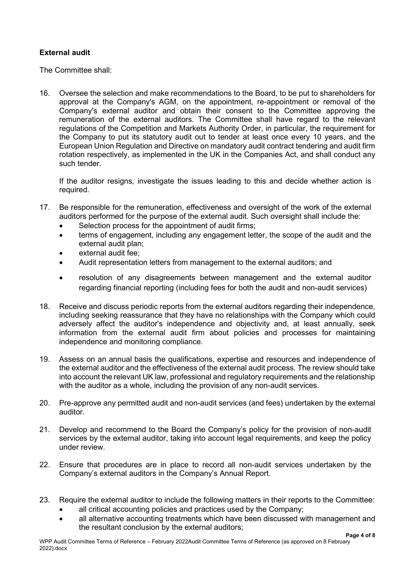## **External audit**

The Committee shall:

16. Oversee the selection and make recommendations to the Board, to be put to shareholders for approval at the Company's AGM, on the appointment, re-appointment or removal of the Company's external auditor and obtain their consent to the Committee approving the remuneration of the external auditors. The Committee shall have regard to the relevant regulations of the Competition and Markets Authority Order, in particular, the requirement for the Company to put its statutory audit out to tender at least once every 10 years, and the European Union Regulation and Directive on mandatory audit contract tendering and audit firm rotation respectively, as implemented in the UK in the Companies Act, and shall conduct any such tender.

If the auditor resigns, investigate the issues leading to this and decide whether action is required.

- 17. Be responsible for the remuneration, effectiveness and oversight of the work of the external auditors performed for the purpose of the external audit. Such oversight shall include the:
	- Selection process for the appointment of audit firms;
	- terms of engagement, including any engagement letter, the scope of the audit and the external audit plan;
	- external audit fee;
	- Audit representation letters from management to the external auditors; and
	- resolution of any disagreements between management and the external auditor regarding financial reporting (including fees for both the audit and non-audit services)
- 18. Receive and discuss periodic reports from the external auditors regarding their independence, including seeking reassurance that they have no relationships with the Company which could adversely affect the auditor's independence and objectivity and, at least annually, seek information from the external audit firm about policies and processes for maintaining independence and monitoring compliance.
- 19. Assess on an annual basis the qualifications, expertise and resources and independence of the external auditor and the effectiveness of the external audit process. The review should take into account the relevant UK law, professional and regulatory requirements and the relationship with the auditor as a whole, including the provision of any non-audit services.
- 20. Pre-approve any permitted audit and non-audit services (and fees) undertaken by the external auditor.
- 21. Develop and recommend to the Board the Company's policy for the provision of non-audit services by the external auditor, taking into account legal requirements, and keep the policy under review.
- 22. Ensure that procedures are in place to record all non-audit services undertaken by the Company's external auditors in the Company's Annual Report.
- 23. Require the external auditor to include the following matters in their reports to the Committee:
	- all critical accounting policies and practices used by the Company;
	- all alternative accounting treatments which have been discussed with management and the resultant conclusion by the external auditors;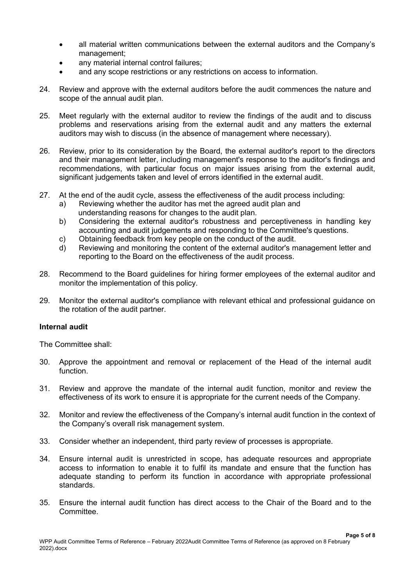- all material written communications between the external auditors and the Company's management;
- any material internal control failures;
- and any scope restrictions or any restrictions on access to information.
- 24. Review and approve with the external auditors before the audit commences the nature and scope of the annual audit plan.
- 25. Meet regularly with the external auditor to review the findings of the audit and to discuss problems and reservations arising from the external audit and any matters the external auditors may wish to discuss (in the absence of management where necessary).
- 26. Review, prior to its consideration by the Board, the external auditor's report to the directors and their management letter, including management's response to the auditor's findings and recommendations, with particular focus on major issues arising from the external audit, significant judgements taken and level of errors identified in the external audit.
- 27. At the end of the audit cycle, assess the effectiveness of the audit process including:
	- a) Reviewing whether the auditor has met the agreed audit plan and understanding reasons for changes to the audit plan.
	- b) Considering the external auditor's robustness and perceptiveness in handling key accounting and audit judgements and responding to the Committee's questions.
	- c) Obtaining feedback from key people on the conduct of the audit.
	- d) Reviewing and monitoring the content of the external auditor's management letter and reporting to the Board on the effectiveness of the audit process.
- 28. Recommend to the Board guidelines for hiring former employees of the external auditor and monitor the implementation of this policy.
- 29. Monitor the external auditor's compliance with relevant ethical and professional guidance on the rotation of the audit partner.

### **Internal audit**

- 30. Approve the appointment and removal or replacement of the Head of the internal audit function.
- 31. Review and approve the mandate of the internal audit function, monitor and review the effectiveness of its work to ensure it is appropriate for the current needs of the Company.
- 32. Monitor and review the effectiveness of the Company's internal audit function in the context of the Company's overall risk management system.
- 33. Consider whether an independent, third party review of processes is appropriate.
- 34. Ensure internal audit is unrestricted in scope, has adequate resources and appropriate access to information to enable it to fulfil its mandate and ensure that the function has adequate standing to perform its function in accordance with appropriate professional standards.
- 35. Ensure the internal audit function has direct access to the Chair of the Board and to the Committee.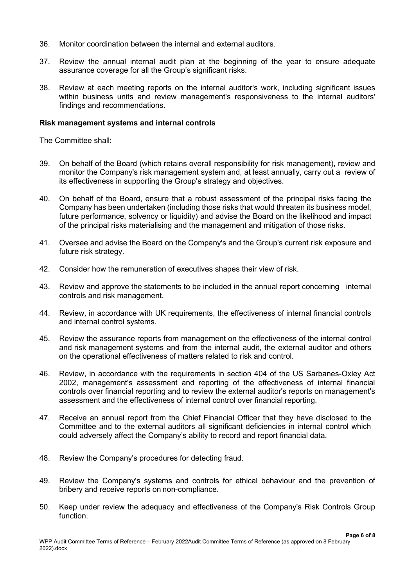- 36. Monitor coordination between the internal and external auditors.
- 37. Review the annual internal audit plan at the beginning of the year to ensure adequate assurance coverage for all the Group's significant risks.
- 38. Review at each meeting reports on the internal auditor's work, including significant issues within business units and review management's responsiveness to the internal auditors' findings and recommendations.

#### **Risk management systems and internal controls**

- 39. On behalf of the Board (which retains overall responsibility for risk management), review and monitor the Company's risk management system and, at least annually, carry out a review of its effectiveness in supporting the Group's strategy and objectives.
- 40. On behalf of the Board, ensure that a robust assessment of the principal risks facing the Company has been undertaken (including those risks that would threaten its business model, future performance, solvency or liquidity) and advise the Board on the likelihood and impact of the principal risks materialising and the management and mitigation of those risks.
- 41. Oversee and advise the Board on the Company's and the Group's current risk exposure and future risk strategy.
- 42. Consider how the remuneration of executives shapes their view of risk.
- 43. Review and approve the statements to be included in the annual report concerning internal controls and risk management.
- 44. Review, in accordance with UK requirements, the effectiveness of internal financial controls and internal control systems.
- 45. Review the assurance reports from management on the effectiveness of the internal control and risk management systems and from the internal audit, the external auditor and others on the operational effectiveness of matters related to risk and control.
- 46. Review, in accordance with the requirements in section 404 of the US Sarbanes-Oxley Act 2002, management's assessment and reporting of the effectiveness of internal financial controls over financial reporting and to review the external auditor's reports on management's assessment and the effectiveness of internal control over financial reporting.
- 47. Receive an annual report from the Chief Financial Officer that they have disclosed to the Committee and to the external auditors all significant deficiencies in internal control which could adversely affect the Company's ability to record and report financial data.
- 48. Review the Company's procedures for detecting fraud.
- 49. Review the Company's systems and controls for ethical behaviour and the prevention of bribery and receive reports on non-compliance.
- 50. Keep under review the adequacy and effectiveness of the Company's Risk Controls Group function.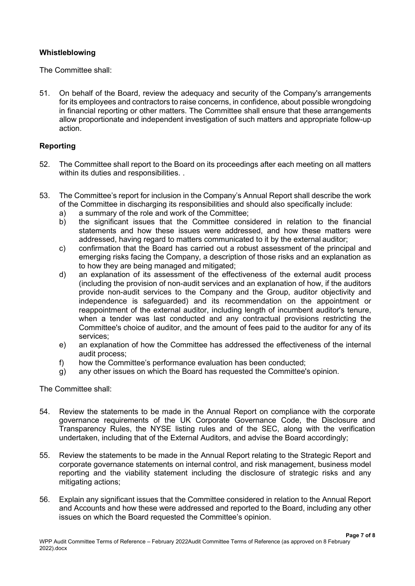# **Whistleblowing**

The Committee shall:

51. On behalf of the Board, review the adequacy and security of the Company's arrangements for its employees and contractors to raise concerns, in confidence, about possible wrongdoing in financial reporting or other matters. The Committee shall ensure that these arrangements allow proportionate and independent investigation of such matters and appropriate follow-up action.

## **Reporting**

- 52. The Committee shall report to the Board on its proceedings after each meeting on all matters within its duties and responsibilities. .
- 53. The Committee's report for inclusion in the Company's Annual Report shall describe the work of the Committee in discharging its responsibilities and should also specifically include:
	- a) a summary of the role and work of the Committee;
	- b) the significant issues that the Committee considered in relation to the financial statements and how these issues were addressed, and how these matters were addressed, having regard to matters communicated to it by the external auditor;
	- c) confirmation that the Board has carried out a robust assessment of the principal and emerging risks facing the Company, a description of those risks and an explanation as to how they are being managed and mitigated;
	- d) an explanation of its assessment of the effectiveness of the external audit process (including the provision of non-audit services and an explanation of how, if the auditors provide non-audit services to the Company and the Group, auditor objectivity and independence is safeguarded) and its recommendation on the appointment or reappointment of the external auditor, including length of incumbent auditor's tenure, when a tender was last conducted and any contractual provisions restricting the Committee's choice of auditor, and the amount of fees paid to the auditor for any of its services;
	- e) an explanation of how the Committee has addressed the effectiveness of the internal audit process;
	- f) how the Committee's performance evaluation has been conducted;
	- g) any other issues on which the Board has requested the Committee's opinion.

- 54. Review the statements to be made in the Annual Report on compliance with the corporate governance requirements of the UK Corporate Governance Code, the Disclosure and Transparency Rules, the NYSE listing rules and of the SEC, along with the verification undertaken, including that of the External Auditors, and advise the Board accordingly;
- 55. Review the statements to be made in the Annual Report relating to the Strategic Report and corporate governance statements on internal control, and risk management, business model reporting and the viability statement including the disclosure of strategic risks and any mitigating actions;
- 56. Explain any significant issues that the Committee considered in relation to the Annual Report and Accounts and how these were addressed and reported to the Board, including any other issues on which the Board requested the Committee's opinion.